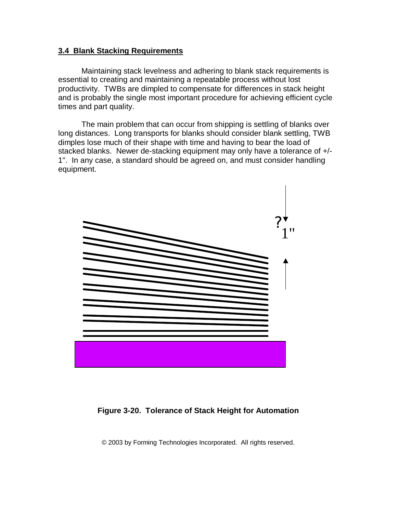## **3.4 Blank Stacking Requirements**

Maintaining stack levelness and adhering to blank stack requirements is essential to creating and maintaining a repeatable process without lost productivity. TWBs are dimpled to compensate for differences in stack height and is probably the single most important procedure for achieving efficient cycle times and part quality.

The main problem that can occur from shipping is settling of blanks over long distances. Long transports for blanks should consider blank settling, TWB dimples lose much of their shape with time and having to bear the load of stacked blanks. Newer de-stacking equipment may only have a tolerance of +/- 1". In any case, a standard should be agreed on, and must consider handling equipment.



## **Figure 3-20. Tolerance of Stack Height for Automation**

© 2003 by Forming Technologies Incorporated. All rights reserved.